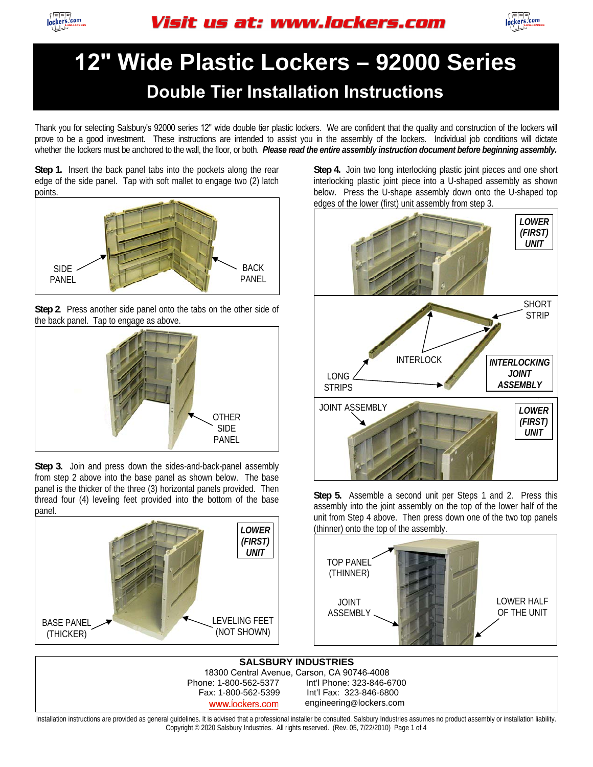



### **12" Wide Plastic Lockers – 92000 Series Double Tier Installation Instructions**

Thank you for selecting Salsbury's 92000 series 12" wide double tier plastic lockers. We are confident that the quality and construction of the lockers will prove to be a good investment. These instructions are intended to assist you in the assembly of the lockers. Individual job conditions will dictate whether the lockers must be anchored to the wall, the floor, or both. *Please read the entire assembly instruction document before beginning assembly.* 

**Step 1.** Insert the back panel tabs into the pockets along the rear edge of the side panel. Tap with soft mallet to engage two (2) latch points.



**Step 2**. Press another side panel onto the tabs on the other side of the back panel. Tap to engage as above.



**Step 3.** Join and press down the sides-and-back-panel assembly from step 2 above into the base panel as shown below. The base panel is the thicker of the three (3) horizontal panels provided. Then thread four (4) leveling feet provided into the bottom of the base panel.



**Step 4.** Join two long interlocking plastic joint pieces and one short interlocking plastic joint piece into a U-shaped assembly as shown below. Press the U-shape assembly down onto the U-shaped top edges of the lower (first) unit assembly from step 3.



**Step 5.** Assemble a second unit per Steps 1 and 2. Press this assembly into the joint assembly on the top of the lower half of the unit from Step 4 above. Then press down one of the two top panels (thinner) onto the top of the assembly.



**SALSBURY INDUSTRIES** 18300 Central Avenue, Carson, CA 90746-4008 Int'l Phone: 323-846-6700 Fax: 1-800-562-5399 Int'l Fax: 323-846-6800 www.lockers.com engineering@lockers.com

Installation instructions are provided as general guidelines. It is advised that a professional installer be consulted. Salsbury Industries assumes no product assembly or installation liability. Copyright © 2020 Salsbury Industries. All rights reserved. (Rev. 05, 7/22/2010) Page 1 of 4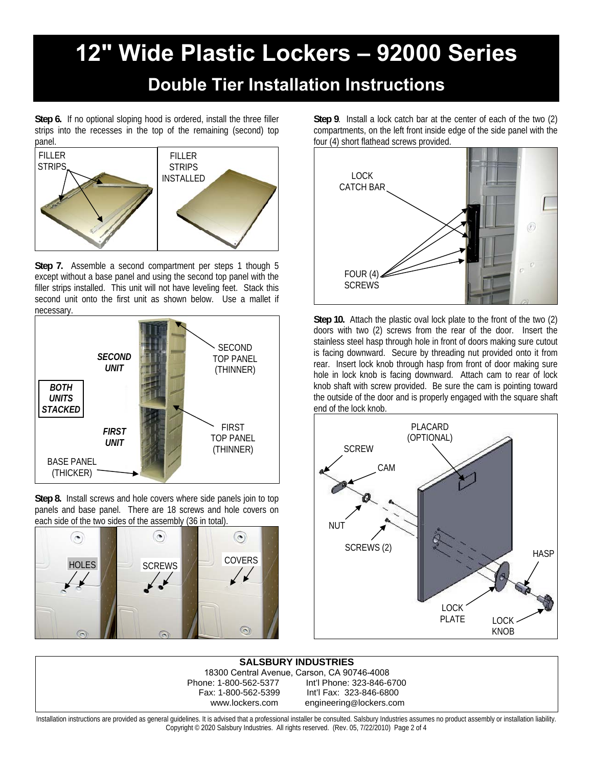## **12" Wide Plastic Lockers – 92000 Series**

#### **Double Tier Installation Instructions**

**Step 6.** If no optional sloping hood is ordered, install the three filler strips into the recesses in the top of the remaining (second) top panel.



**Step 7.** Assemble a second compartment per steps 1 though 5 except without a base panel and using the second top panel with the filler strips installed. This unit will not have leveling feet. Stack this second unit onto the first unit as shown below. Use a mallet if necessary.



**Step 8.** Install screws and hole covers where side panels join to top panels and base panel. There are 18 screws and hole covers on each side of the two sides of the assembly (36 in total).



**Step 9**. Install a lock catch bar at the center of each of the two (2) compartments, on the left front inside edge of the side panel with the four (4) short flathead screws provided.



**Step 10.** Attach the plastic oval lock plate to the front of the two (2) doors with two (2) screws from the rear of the door. Insert the stainless steel hasp through hole in front of doors making sure cutout is facing downward. Secure by threading nut provided onto it from rear. Insert lock knob through hasp from front of door making sure hole in lock knob is facing downward. Attach cam to rear of lock knob shaft with screw provided. Be sure the cam is pointing toward the outside of the door and is properly engaged with the square shaft end of the lock knob.



**SALSBURY INDUSTRIES** 18300 Central Avenue, Carson, CA 90746-4008 Int'l Phone: 323-846-6700 Fax: 1-800-562-5399 Int'l Fax: 323-846-6800 www.lockers.com engineering@lockers.com

Installation instructions are provided as general guidelines. It is advised that a professional installer be consulted. Salsbury Industries assumes no product assembly or installation liability. Copyright © 2020 Salsbury Industries. All rights reserved. (Rev. 05, 7/22/2010) Page 2 of 4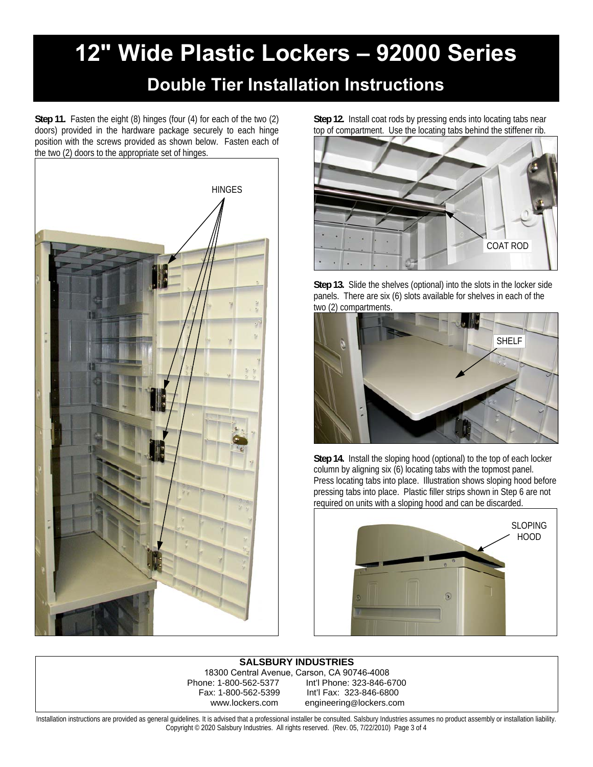# **12" Wide Plastic Lockers – 92000 Series**

#### **Double Tier Installation Instructions**

**Step 11.** Fasten the eight (8) hinges (four (4) for each of the two (2) doors) provided in the hardware package securely to each hinge position with the screws provided as shown below. Fasten each of the two (2) doors to the appropriate set of hinges.



**Step 12.** Install coat rods by pressing ends into locating tabs near top of compartment. Use the locating tabs behind the stiffener rib.



**Step 13.** Slide the shelves (optional) into the slots in the locker side panels. There are six (6) slots available for shelves in each of the two (2) compartments.



**Step 14.** Install the sloping hood (optional) to the top of each locker column by aligning six (6) locating tabs with the topmost panel. Press locating tabs into place. Illustration shows sloping hood before pressing tabs into place. Plastic filler strips shown in Step 6 are not required on units with a sloping hood and can be discarded.



**SALSBURY INDUSTRIES** 18300 Central Avenue, Carson, CA 90746-4008 Int'l Phone: 323-846-6700 Fax: 1-800-562-5399 Int'l Fax: 323-846-6800 www.lockers.com engineering@lockers.com

Installation instructions are provided as general guidelines. It is advised that a professional installer be consulted. Salsbury Industries assumes no product assembly or installation liability. Copyright © 2020 Salsbury Industries. All rights reserved. (Rev. 05, 7/22/2010) Page 3 of 4